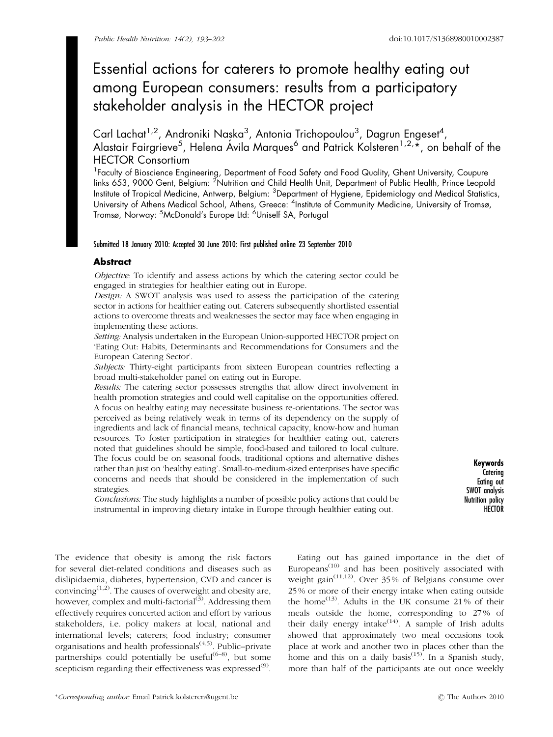# Essential actions for caterers to promote healthy eating out among European consumers: results from a participatory stakeholder analysis in the HECTOR project

Carl Lachat<sup>1,2</sup>, Androniki Naṣka<sup>3</sup>, Antonia Trichopoulou<sup>3</sup>, Dagrun Engeset<sup>4</sup>, Alastair Fairgrieve<sup>5</sup>, Helena Ávila Marques<sup>6</sup> and Patrick Kolsteren<sup>1,2,</sup>\*, on behalf of the HECTOR Consortium

<sup>1</sup> Faculty of Bioscience Engineering, Department of Food Safety and Food Quality, Ghent University, Coupure links 653, 9000 Gent, Belgium: <sup>2</sup>Nutrition and Child Health Unit, Department of Public Health, Prince Leopold Institute of Tropical Medicine, Antwerp, Belgium: <sup>3</sup>Department of Hygiene, Epidemiology and Medical Statistics, University of Athens Medical School, Athens, Greece: <sup>4</sup>Institute of Community Medicine, University of Tromsø, Tromsø, Norway: <sup>5</sup>McDonald's Europe Ltd: <sup>6</sup>Uniself SA, Portugal

# Submitted 18 January 2010: Accepted 30 June 2010: First published online 23 September 2010

# **Abstract**

Objective: To identify and assess actions by which the catering sector could be engaged in strategies for healthier eating out in Europe.

Design: A SWOT analysis was used to assess the participation of the catering sector in actions for healthier eating out. Caterers subsequently shortlisted essential actions to overcome threats and weaknesses the sector may face when engaging in implementing these actions.

Setting: Analysis undertaken in the European Union-supported HECTOR project on 'Eating Out: Habits, Determinants and Recommendations for Consumers and the European Catering Sector'.

Subjects: Thirty-eight participants from sixteen European countries reflecting a broad multi-stakeholder panel on eating out in Europe.

Results: The catering sector possesses strengths that allow direct involvement in health promotion strategies and could well capitalise on the opportunities offered. A focus on healthy eating may necessitate business re-orientations. The sector was perceived as being relatively weak in terms of its dependency on the supply of ingredients and lack of financial means, technical capacity, know-how and human resources. To foster participation in strategies for healthier eating out, caterers noted that guidelines should be simple, food-based and tailored to local culture. The focus could be on seasonal foods, traditional options and alternative dishes rather than just on 'healthy eating'. Small-to-medium-sized enterprises have specific concerns and needs that should be considered in the implementation of such strategies.

Conclusions: The study highlights a number of possible policy actions that could be instrumental in improving dietary intake in Europe through healthier eating out.

Keywords **Caterina** Eating out SWOT analysis Nutrition policy **HECTOR** 

The evidence that obesity is among the risk factors for several diet-related conditions and diseases such as dislipidaemia, diabetes, hypertension, CVD and cancer is convincing $(1,2)$ . The causes of overweight and obesity are, however, complex and multi-factorial $(3)$ . Addressing them effectively requires concerted action and effort by various stakeholders, i.e. policy makers at local, national and international levels; caterers; food industry; consumer organisations and health professionals<sup> $(4,5)$ </sup>. Public–private partnerships could potentially be useful<sup> $(6-8)$ </sup>, but some scepticism regarding their effectiveness was expressed<sup>(9)</sup>.

Europeans<sup>(10)</sup> and has been positively associated with weight gain<sup> $(11,12)$ </sup>. Over 35% of Belgians consume over 25 % or more of their energy intake when eating outside the home<sup> $(13)$ </sup>. Adults in the UK consume 21% of their meals outside the home, corresponding to 27 % of their daily energy intake $^{(14)}$ . A sample of Irish adults showed that approximately two meal occasions took place at work and another two in places other than the home and this on a daily basis<sup> $(15)$ </sup>. In a Spanish study, more than half of the participants ate out once weekly

Eating out has gained importance in the diet of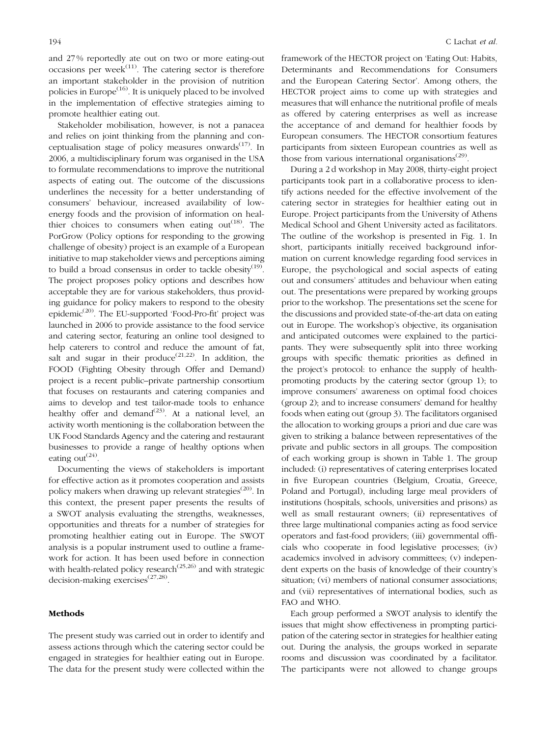and 27 % reportedly ate out on two or more eating-out occasions per week<sup> $(11)$ </sup>. The catering sector is therefore an important stakeholder in the provision of nutrition policies in Europe $(16)$ . It is uniquely placed to be involved in the implementation of effective strategies aiming to promote healthier eating out.

Stakeholder mobilisation, however, is not a panacea and relies on joint thinking from the planning and conceptualisation stage of policy measures onwards $(17)$ . In 2006, a multidisciplinary forum was organised in the USA to formulate recommendations to improve the nutritional aspects of eating out. The outcome of the discussions underlines the necessity for a better understanding of consumers' behaviour, increased availability of lowenergy foods and the provision of information on healthier choices to consumers when eating out $(18)$ . The PorGrow (Policy options for responding to the growing challenge of obesity) project is an example of a European initiative to map stakeholder views and perceptions aiming to build a broad consensus in order to tackle obesity<sup>(19)</sup>. The project proposes policy options and describes how acceptable they are for various stakeholders, thus providing guidance for policy makers to respond to the obesity epidemic<sup>(20)</sup>. The EU-supported 'Food-Pro-fit' project was launched in 2006 to provide assistance to the food service and catering sector, featuring an online tool designed to help caterers to control and reduce the amount of fat, salt and sugar in their produce<sup> $(21,22)$ </sup>. In addition, the FOOD (Fighting Obesity through Offer and Demand) project is a recent public–private partnership consortium that focuses on restaurants and catering companies and aims to develop and test tailor-made tools to enhance healthy offer and demand<sup>(23)</sup>. At a national level, an activity worth mentioning is the collaboration between the UK Food Standards Agency and the catering and restaurant businesses to provide a range of healthy options when eating out<sup> $(24)$ </sup>.

Documenting the views of stakeholders is important for effective action as it promotes cooperation and assists policy makers when drawing up relevant strategies<sup>(20)</sup>. In this context, the present paper presents the results of a SWOT analysis evaluating the strengths, weaknesses, opportunities and threats for a number of strategies for promoting healthier eating out in Europe. The SWOT analysis is a popular instrument used to outline a framework for action. It has been used before in connection with health-related policy research<sup> $(25,26)$ </sup> and with strategic decision-making exercises<sup>(27,28)</sup>.

# Methods

The present study was carried out in order to identify and assess actions through which the catering sector could be engaged in strategies for healthier eating out in Europe. The data for the present study were collected within the

framework of the HECTOR project on 'Eating Out: Habits, Determinants and Recommendations for Consumers and the European Catering Sector'. Among others, the HECTOR project aims to come up with strategies and measures that will enhance the nutritional profile of meals as offered by catering enterprises as well as increase the acceptance of and demand for healthier foods by European consumers. The HECTOR consortium features participants from sixteen European countries as well as those from various international organisations<sup> $(29)$ </sup>.

During a 2 d workshop in May 2008, thirty-eight project participants took part in a collaborative process to identify actions needed for the effective involvement of the catering sector in strategies for healthier eating out in Europe. Project participants from the University of Athens Medical School and Ghent University acted as facilitators. The outline of the workshop is presented in Fig. 1. In short, participants initially received background information on current knowledge regarding food services in Europe, the psychological and social aspects of eating out and consumers' attitudes and behaviour when eating out. The presentations were prepared by working groups prior to the workshop. The presentations set the scene for the discussions and provided state-of-the-art data on eating out in Europe. The workshop's objective, its organisation and anticipated outcomes were explained to the participants. They were subsequently split into three working groups with specific thematic priorities as defined in the project's protocol: to enhance the supply of healthpromoting products by the catering sector (group 1); to improve consumers' awareness on optimal food choices (group 2); and to increase consumers' demand for healthy foods when eating out (group 3). The facilitators organised the allocation to working groups a priori and due care was given to striking a balance between representatives of the private and public sectors in all groups. The composition of each working group is shown in Table 1. The group included: (i) representatives of catering enterprises located in five European countries (Belgium, Croatia, Greece, Poland and Portugal), including large meal providers of institutions (hospitals, schools, universities and prisons) as well as small restaurant owners; (ii) representatives of three large multinational companies acting as food service operators and fast-food providers; (iii) governmental officials who cooperate in food legislative processes; (iv) academics involved in advisory committees; (v) independent experts on the basis of knowledge of their country's situation; (vi) members of national consumer associations; and (vii) representatives of international bodies, such as FAO and WHO.

Each group performed a SWOT analysis to identify the issues that might show effectiveness in prompting participation of the catering sector in strategies for healthier eating out. During the analysis, the groups worked in separate rooms and discussion was coordinated by a facilitator. The participants were not allowed to change groups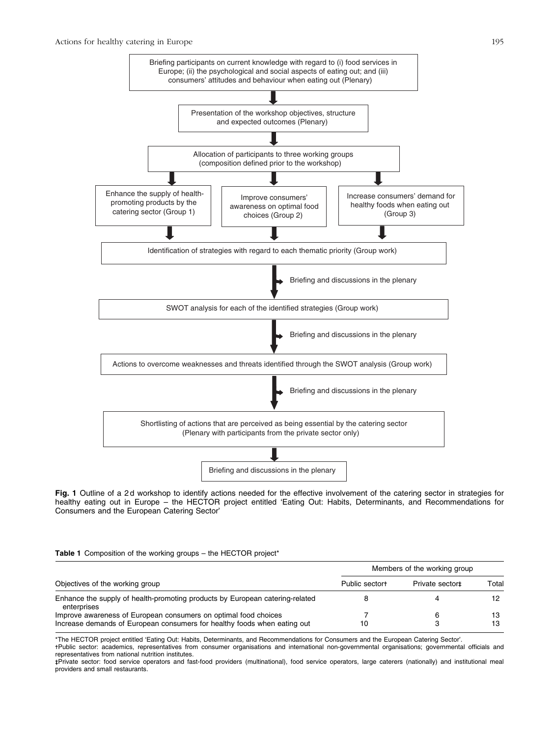

Fig. 1 Outline of a 2d workshop to identify actions needed for the effective involvement of the catering sector in strategies for healthy eating out in Europe – the HECTOR project entitled 'Eating Out: Habits, Determinants, and Recommendations for Consumers and the European Catering Sector'

### Table 1 Composition of the working groups - the HECTOR project\*

| Objectives of the working group                                                                                                             | Members of the working group |                |          |
|---------------------------------------------------------------------------------------------------------------------------------------------|------------------------------|----------------|----------|
|                                                                                                                                             | Public sectort               | Private sector | Total    |
| Enhance the supply of health-promoting products by European catering-related<br>enterprises                                                 |                              |                | 12       |
| Improve awareness of European consumers on optimal food choices<br>Increase demands of European consumers for healthy foods when eating out | 10                           | 6              | 13<br>13 |

\*The HECTOR project entitled 'Eating Out: Habits, Determinants, and Recommendations for Consumers and the European Catering Sector'.

-Public sector: academics, representatives from consumer organisations and international non-governmental organisations; governmental officials and representatives from national nutrition institutes.

- - Private sector: food service operators and fast-food providers (multinational), food service operators, large caterers (nationally) and institutional meal providers and small restaurants.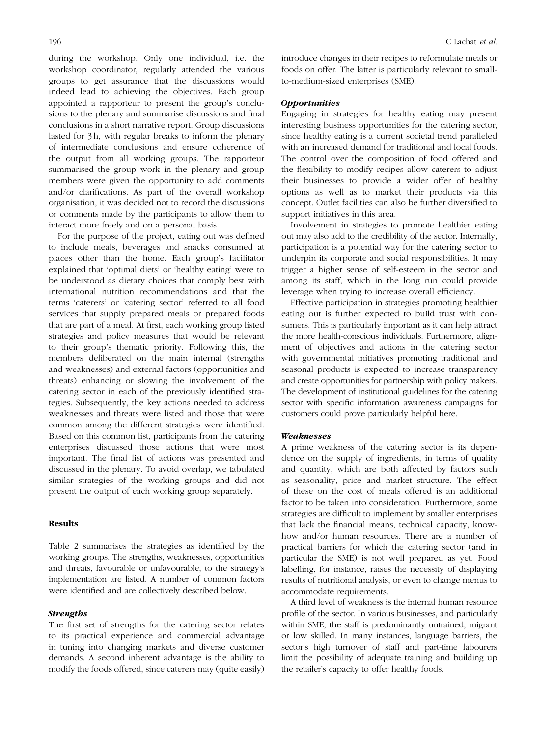during the workshop. Only one individual, i.e. the workshop coordinator, regularly attended the various groups to get assurance that the discussions would indeed lead to achieving the objectives. Each group appointed a rapporteur to present the group's conclusions to the plenary and summarise discussions and final conclusions in a short narrative report. Group discussions lasted for 3 h, with regular breaks to inform the plenary of intermediate conclusions and ensure coherence of the output from all working groups. The rapporteur summarised the group work in the plenary and group members were given the opportunity to add comments and/or clarifications. As part of the overall workshop organisation, it was decided not to record the discussions or comments made by the participants to allow them to interact more freely and on a personal basis.

For the purpose of the project, eating out was defined to include meals, beverages and snacks consumed at places other than the home. Each group's facilitator explained that 'optimal diets' or 'healthy eating' were to be understood as dietary choices that comply best with international nutrition recommendations and that the terms 'caterers' or 'catering sector' referred to all food services that supply prepared meals or prepared foods that are part of a meal. At first, each working group listed strategies and policy measures that would be relevant to their group's thematic priority. Following this, the members deliberated on the main internal (strengths and weaknesses) and external factors (opportunities and threats) enhancing or slowing the involvement of the catering sector in each of the previously identified strategies. Subsequently, the key actions needed to address weaknesses and threats were listed and those that were common among the different strategies were identified. Based on this common list, participants from the catering enterprises discussed those actions that were most important. The final list of actions was presented and discussed in the plenary. To avoid overlap, we tabulated similar strategies of the working groups and did not present the output of each working group separately.

# Results

Table 2 summarises the strategies as identified by the working groups. The strengths, weaknesses, opportunities and threats, favourable or unfavourable, to the strategy's implementation are listed. A number of common factors were identified and are collectively described below.

# **Strengths**

The first set of strengths for the catering sector relates to its practical experience and commercial advantage in tuning into changing markets and diverse customer demands. A second inherent advantage is the ability to modify the foods offered, since caterers may (quite easily) introduce changes in their recipes to reformulate meals or foods on offer. The latter is particularly relevant to smallto-medium-sized enterprises (SME).

# **Opportunities**

Engaging in strategies for healthy eating may present interesting business opportunities for the catering sector, since healthy eating is a current societal trend paralleled with an increased demand for traditional and local foods. The control over the composition of food offered and the flexibility to modify recipes allow caterers to adjust their businesses to provide a wider offer of healthy options as well as to market their products via this concept. Outlet facilities can also be further diversified to support initiatives in this area.

Involvement in strategies to promote healthier eating out may also add to the credibility of the sector. Internally, participation is a potential way for the catering sector to underpin its corporate and social responsibilities. It may trigger a higher sense of self-esteem in the sector and among its staff, which in the long run could provide leverage when trying to increase overall efficiency.

Effective participation in strategies promoting healthier eating out is further expected to build trust with consumers. This is particularly important as it can help attract the more health-conscious individuals. Furthermore, alignment of objectives and actions in the catering sector with governmental initiatives promoting traditional and seasonal products is expected to increase transparency and create opportunities for partnership with policy makers. The development of institutional guidelines for the catering sector with specific information awareness campaigns for customers could prove particularly helpful here.

# Weaknesses

A prime weakness of the catering sector is its dependence on the supply of ingredients, in terms of quality and quantity, which are both affected by factors such as seasonality, price and market structure. The effect of these on the cost of meals offered is an additional factor to be taken into consideration. Furthermore, some strategies are difficult to implement by smaller enterprises that lack the financial means, technical capacity, knowhow and/or human resources. There are a number of practical barriers for which the catering sector (and in particular the SME) is not well prepared as yet. Food labelling, for instance, raises the necessity of displaying results of nutritional analysis, or even to change menus to accommodate requirements.

A third level of weakness is the internal human resource profile of the sector. In various businesses, and particularly within SME, the staff is predominantly untrained, migrant or low skilled. In many instances, language barriers, the sector's high turnover of staff and part-time labourers limit the possibility of adequate training and building up the retailer's capacity to offer healthy foods.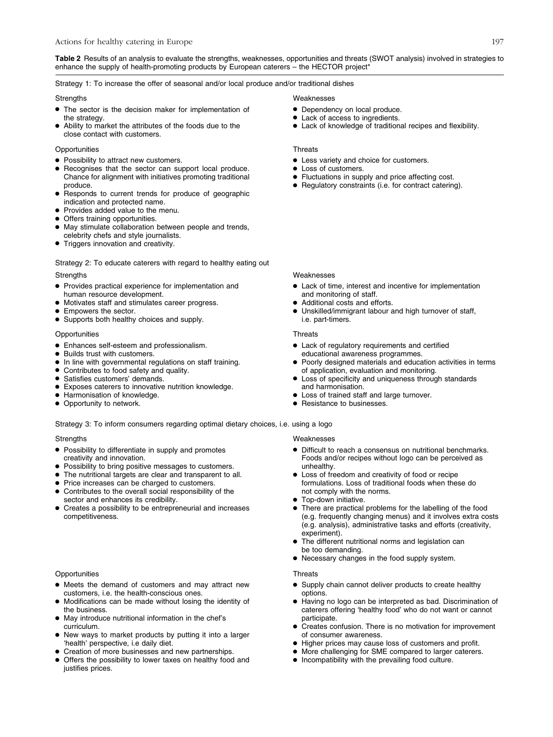Table 2 Results of an analysis to evaluate the strengths, weaknesses, opportunities and threats (SWOT analysis) involved in strategies to enhance the supply of health-promoting products by European caterers - the HECTOR project\*

Strategy 1: To increase the offer of seasonal and/or local produce and/or traditional dishes

- > The sector is the decision maker for implementation of the strategy.
- Ability to market the attributes of the foods due to the close contact with customers.

# Opportunities Threats

- Possibility to attract new customers.
- Recognises that the sector can support local produce. Chance for alignment with initiatives promoting traditional produce.
- > Responds to current trends for produce of geographic indication and protected name.
- > Provides added value to the menu.
- Offers training opportunities.
- > May stimulate collaboration between people and trends, celebrity chefs and style journalists.
- **•** Triggers innovation and creativity.

Strategy 2: To educate caterers with regard to healthy eating out Strengths Weaknesses

- > Provides practical experience for implementation and human resource development.
	- Motivates staff and stimulates career progress.
- Empowers the sector.
- Supports both healthy choices and supply.

# Opportunities Threats

- Enhances self-esteem and professionalism.<br>• Builds trust with customers
- Builds trust with customers.
- > In line with governmental regulations on staff training.
- Contributes to food safety and quality.<br>• Satisfies customers' demands.
- Satisfies customers' demands.
- > Exposes caterers to innovative nutrition knowledge.
- > Harmonisation of knowledge.
- Opportunity to network.

# Strategy 3: To inform consumers regarding optimal dietary choices, i.e. using a logo

- Possibility to differentiate in supply and promotes creativity and innovation.
- Possibility to bring positive messages to customers.
- The nutritional targets are clear and transparent to all.
- 
- Price increases can be charged to customers.<br>• Contributes to the overall social responsibility Contributes to the overall social responsibility of the sector and enhances its credibility.
- > Creates a possibility to be entrepreneurial and increases competitiveness.

# Opportunities Threats

- > Meets the demand of customers and may attract new customers, i.e. the health-conscious ones.
- > Modifications can be made without losing the identity of the business.
- > May introduce nutritional information in the chef's curriculum.
- > New ways to market products by putting it into a larger 'health' perspective, i.e daily diet.
- > Creation of more businesses and new partnerships.
- > Offers the possibility to lower taxes on healthy food and justifies prices.

### Strengths Weaknesses

- Dependency on local produce.
- Lack of access to ingredients.
- > Lack of knowledge of traditional recipes and flexibility.

- $\bullet$  Less variety and choice for customers.
- $\bullet$  Loss of customers.
- Fluctuations in supply and price affecting cost.
- > Regulatory constraints (i.e. for contract catering).

- > Lack of time, interest and incentive for implementation and monitoring of staff.
- Additional costs and efforts.
- > Unskilled/immigrant labour and high turnover of staff, i.e. part-timers.

- > Lack of regulatory requirements and certified educational awareness programmes.
- Poorly designed materials and education activities in terms of application, evaluation and monitoring.
- Loss of specificity and uniqueness through standards and harmonisation.
- Loss of trained staff and large turnover.
- > Resistance to businesses.

# Strengths Weaknesses

- > Difficult to reach a consensus on nutritional benchmarks. Foods and/or recipes without logo can be perceived as unhealthy.
- Loss of freedom and creativity of food or recipe formulations. Loss of traditional foods when these do not comply with the norms.
- Top-down initiative.
- > There are practical problems for the labelling of the food (e.g. frequently changing menus) and it involves extra costs (e.g. analysis), administrative tasks and efforts (creativity, experiment).
- > The different nutritional norms and legislation can be too demanding.
- Necessary changes in the food supply system.

- Supply chain cannot deliver products to create healthy options.
- > Having no logo can be interpreted as bad. Discrimination of caterers offering 'healthy food' who do not want or cannot participate.
- Creates confusion. There is no motivation for improvement of consumer awareness.
- > Higher prices may cause loss of customers and profit.
- > More challenging for SME compared to larger caterers.
- > Incompatibility with the prevailing food culture.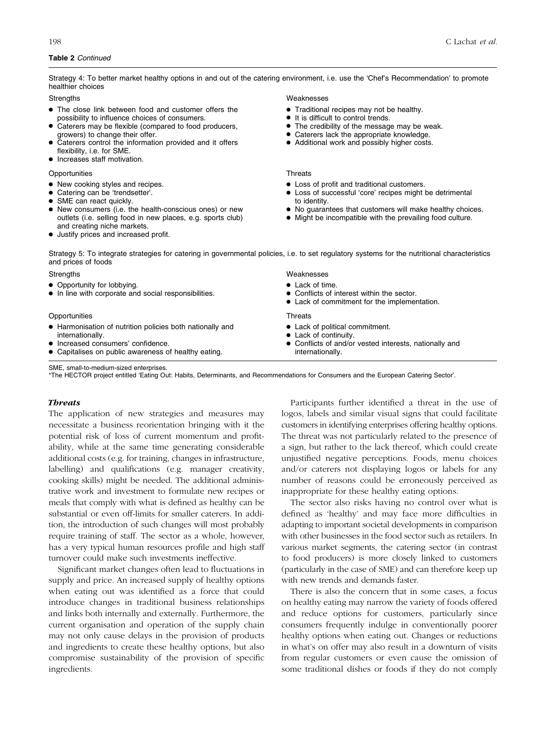Strategy 4: To better market healthy options in and out of the catering environment, i.e. use the 'Chef's Recommendation' to promote healthier choices

- $\bullet$  The close link between food and customer offers the possibility to influence choices of consumers.
- Caterers may be flexible (compared to food producers, growers) to change their offer.
- Caterers control the information provided and it offers flexibility, i.e. for SME.
- $\bullet$  Increases staff motivation.

### Opportunities Threats

- New cooking styles and recipes.
- Catering can be 'trendsetter'.
- SME can react quickly.
- > New consumers (i.e. the health-conscious ones) or new outlets (i.e. selling food in new places, e.g. sports club) and creating niche markets.
- > Justify prices and increased profit.

Strengths Weaknesses

- > Traditional recipes may not be healthy.
- $\bullet$  It is difficult to control trends.
- The credibility of the message may be weak.
- > Caterers lack the appropriate knowledge.
- Additional work and possibly higher costs.

 $\bullet$  Lack of time.

• Lack of continuity.

internationally.

 $\bullet$  Loss of profit and traditional customers.

> Conflicts of interest within the sector.  $\bullet$  Lack of commitment for the implementation.

> Conflicts of and/or vested interests, nationally and

• Lack of political commitment.

- > Loss of successful 'core' recipes might be detrimental to identity.
- > No guarantees that customers will make healthy choices.
- > Might be incompatible with the prevailing food culture.

Strategy 5: To integrate strategies for catering in governmental policies, i.e. to set regulatory systems for the nutritional characteristics and prices of foods

### Strengths Weaknesses

- Opportunity for lobbying.
- $\bullet$  In line with corporate and social responsibilities.

# Opportunities Threats

- > Harmonisation of nutrition policies both nationally and internationally.
- Increased consumers' confidence.
- > Capitalises on public awareness of healthy eating.

SME, small-to-medium-sized enterprises.

\*The HECTOR project entitled 'Eating Out: Habits, Determinants, and Recommendations for Consumers and the European Catering Sector'.

# **Threats**

The application of new strategies and measures may necessitate a business reorientation bringing with it the potential risk of loss of current momentum and profitability, while at the same time generating considerable additional costs (e.g. for training, changes in infrastructure, labelling) and qualifications (e.g. manager creativity, cooking skills) might be needed. The additional administrative work and investment to formulate new recipes or meals that comply with what is defined as healthy can be substantial or even off-limits for smaller caterers. In addition, the introduction of such changes will most probably require training of staff. The sector as a whole, however, has a very typical human resources profile and high staff turnover could make such investments ineffective.

Significant market changes often lead to fluctuations in supply and price. An increased supply of healthy options when eating out was identified as a force that could introduce changes in traditional business relationships and links both internally and externally. Furthermore, the current organisation and operation of the supply chain may not only cause delays in the provision of products and ingredients to create these healthy options, but also compromise sustainability of the provision of specific ingredients.

Participants further identified a threat in the use of logos, labels and similar visual signs that could facilitate customers in identifying enterprises offering healthy options. The threat was not particularly related to the presence of a sign, but rather to the lack thereof, which could create unjustified negative perceptions. Foods, menu choices and/or caterers not displaying logos or labels for any number of reasons could be erroneously perceived as inappropriate for these healthy eating options.

The sector also risks having no control over what is defined as 'healthy' and may face more difficulties in adapting to important societal developments in comparison with other businesses in the food sector such as retailers. In various market segments, the catering sector (in contrast to food producers) is more closely linked to customers (particularly in the case of SME) and can therefore keep up with new trends and demands faster.

There is also the concern that in some cases, a focus on healthy eating may narrow the variety of foods offered and reduce options for customers, particularly since consumers frequently indulge in conventionally poorer healthy options when eating out. Changes or reductions in what's on offer may also result in a downturn of visits from regular customers or even cause the omission of some traditional dishes or foods if they do not comply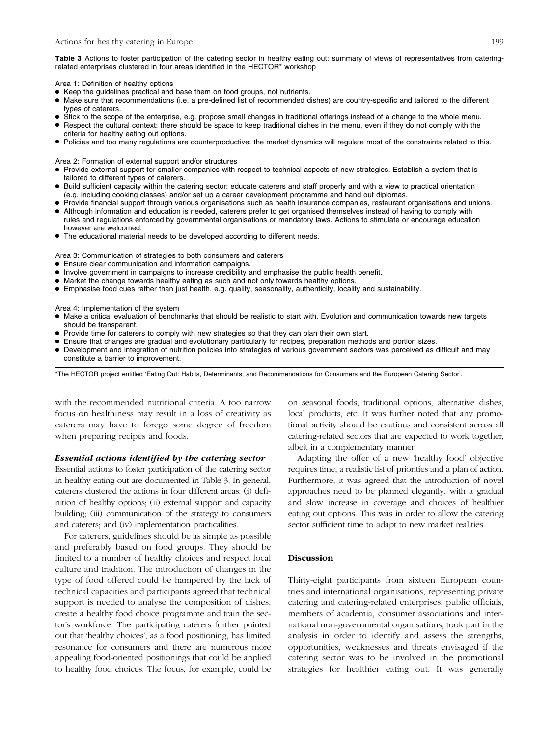# Table 3 Actions to foster participation of the catering sector in healthy eating out: summary of views of representatives from cateringrelated enterprises clustered in four areas identified in the HECTOR\* workshop

Area 1: Definition of healthy options

- > Keep the guidelines practical and base them on food groups, not nutrients.
- > Make sure that recommendations (i.e. a pre-defined list of recommended dishes) are country-specific and tailored to the different types of caterers.
- Stick to the scope of the enterprise, e.g. propose small changes in traditional offerings instead of a change to the whole menu.
- Respect the cultural context: there should be space to keep traditional dishes in the menu, even if they do not comply with the criteria for healthy eating out options.
- > Policies and too many regulations are counterproductive: the market dynamics will regulate most of the constraints related to this.

Area 2: Formation of external support and/or structures

- > Provide external support for smaller companies with respect to technical aspects of new strategies. Establish a system that is tailored to different types of caterers.
- Build sufficient capacity within the catering sector: educate caterers and staff properly and with a view to practical orientation (e.g. including cooking classes) and/or set up a career development programme and hand out diplomas.
- Provide financial support through various organisations such as health insurance companies, restaurant organisations and unions.
- Although information and education is needed, caterers prefer to get organised themselves instead of having to comply with rules and regulations enforced by governmental organisations or mandatory laws. Actions to stimulate or encourage education however are welcomed.
- The educational material needs to be developed according to different needs.

Area 3: Communication of strategies to both consumers and caterers

- > Ensure clear communication and information campaigns.
- > Involve government in campaigns to increase credibility and emphasise the public health benefit.
- Market the change towards healthy eating as such and not only towards healthy options.
- > Emphasise food cues rather than just health, e.g. quality, seasonality, authenticity, locality and sustainability.

Area 4: Implementation of the system

- > Make a critical evaluation of benchmarks that should be realistic to start with. Evolution and communication towards new targets should be transparent.
- Provide time for caterers to comply with new strategies so that they can plan their own start.
- > Ensure that changes are gradual and evolutionary particularly for recipes, preparation methods and portion sizes.
- > Development and integration of nutrition policies into strategies of various government sectors was perceived as difficult and may constitute a barrier to improvement.

\*The HECTOR project entitled 'Eating Out: Habits, Determinants, and Recommendations for Consumers and the European Catering Sector'.

with the recommended nutritional criteria. A too narrow focus on healthiness may result in a loss of creativity as caterers may have to forego some degree of freedom when preparing recipes and foods.

# Essential actions identified by the catering sector

Essential actions to foster participation of the catering sector in healthy eating out are documented in Table 3. In general, caterers clustered the actions in four different areas: (i) definition of healthy options; (ii) external support and capacity building; (iii) communication of the strategy to consumers and caterers; and (iv) implementation practicalities.

For caterers, guidelines should be as simple as possible and preferably based on food groups. They should be limited to a number of healthy choices and respect local culture and tradition. The introduction of changes in the type of food offered could be hampered by the lack of technical capacities and participants agreed that technical support is needed to analyse the composition of dishes, create a healthy food choice programme and train the sector's workforce. The participating caterers further pointed out that 'healthy choices', as a food positioning, has limited resonance for consumers and there are numerous more appealing food-oriented positionings that could be applied to healthy food choices. The focus, for example, could be on seasonal foods, traditional options, alternative dishes, local products, etc. It was further noted that any promotional activity should be cautious and consistent across all catering-related sectors that are expected to work together, albeit in a complementary manner.

Adapting the offer of a new 'healthy food' objective requires time, a realistic list of priorities and a plan of action. Furthermore, it was agreed that the introduction of novel approaches need to be planned elegantly, with a gradual and slow increase in coverage and choices of healthier eating out options. This was in order to allow the catering sector sufficient time to adapt to new market realities.

# Discussion

Thirty-eight participants from sixteen European countries and international organisations, representing private catering and catering-related enterprises, public officials, members of academia, consumer associations and international non-governmental organisations, took part in the analysis in order to identify and assess the strengths, opportunities, weaknesses and threats envisaged if the catering sector was to be involved in the promotional strategies for healthier eating out. It was generally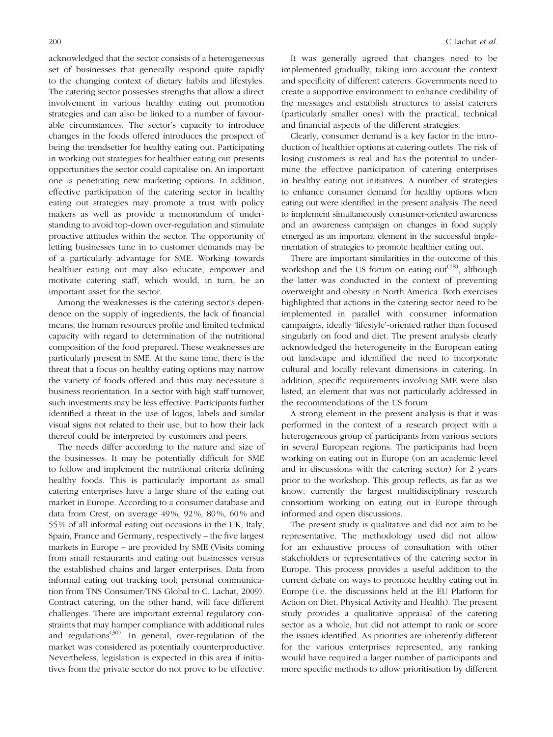acknowledged that the sector consists of a heterogeneous set of businesses that generally respond quite rapidly to the changing context of dietary habits and lifestyles. The catering sector possesses strengths that allow a direct involvement in various healthy eating out promotion strategies and can also be linked to a number of favourable circumstances. The sector's capacity to introduce changes in the foods offered introduces the prospect of being the trendsetter for healthy eating out. Participating in working out strategies for healthier eating out presents opportunities the sector could capitalise on. An important one is penetrating new marketing options. In addition, effective participation of the catering sector in healthy eating out strategies may promote a trust with policy makers as well as provide a memorandum of understanding to avoid top-down over-regulation and stimulate proactive attitudes within the sector. The opportunity of letting businesses tune in to customer demands may be of a particularly advantage for SME. Working towards healthier eating out may also educate, empower and motivate catering staff, which would, in turn, be an important asset for the sector.

Among the weaknesses is the catering sector's dependence on the supply of ingredients, the lack of financial means, the human resources profile and limited technical capacity with regard to determination of the nutritional composition of the food prepared. These weaknesses are particularly present in SME. At the same time, there is the threat that a focus on healthy eating options may narrow the variety of foods offered and thus may necessitate a business reorientation. In a sector with high staff turnover, such investments may be less effective. Participants further identified a threat in the use of logos, labels and similar visual signs not related to their use, but to how their lack thereof could be interpreted by customers and peers.

The needs differ according to the nature and size of the businesses. It may be potentially difficult for SME to follow and implement the nutritional criteria defining healthy foods. This is particularly important as small catering enterprises have a large share of the eating out market in Europe. According to a consumer database and data from Crest, on average 49 %, 92 %, 80 %, 60 % and 55 % of all informal eating out occasions in the UK, Italy, Spain, France and Germany, respectively – the five largest markets in Europe – are provided by SME (Visits coming from small restaurants and eating out businesses versus the established chains and larger enterprises. Data from informal eating out tracking tool; personal communication from TNS Consumer/TNS Global to C. Lachat, 2009). Contract catering, on the other hand, will face different challenges. There are important external regulatory constraints that may hamper compliance with additional rules and regulations $(30)$ . In general, over-regulation of the market was considered as potentially counterproductive. Nevertheless, legislation is expected in this area if initiatives from the private sector do not prove to be effective.

It was generally agreed that changes need to be implemented gradually, taking into account the context and specificity of different caterers. Governments need to create a supportive environment to enhance credibility of the messages and establish structures to assist caterers (particularly smaller ones) with the practical, technical and financial aspects of the different strategies.

Clearly, consumer demand is a key factor in the introduction of healthier options at catering outlets. The risk of losing customers is real and has the potential to undermine the effective participation of catering enterprises in healthy eating out initiatives. A number of strategies to enhance consumer demand for healthy options when eating out were identified in the present analysis. The need to implement simultaneously consumer-oriented awareness and an awareness campaign on changes in food supply emerged as an important element in the successful implementation of strategies to promote healthier eating out.

There are important similarities in the outcome of this workshop and the US forum on eating out<sup>(18)</sup>, although the latter was conducted in the context of preventing overweight and obesity in North America. Both exercises highlighted that actions in the catering sector need to be implemented in parallel with consumer information campaigns, ideally 'lifestyle'-oriented rather than focused singularly on food and diet. The present analysis clearly acknowledged the heterogeneity in the European eating out landscape and identified the need to incorporate cultural and locally relevant dimensions in catering. In addition, specific requirements involving SME were also listed, an element that was not particularly addressed in the recommendations of the US forum.

A strong element in the present analysis is that it was performed in the context of a research project with a heterogeneous group of participants from various sectors in several European regions. The participants had been working on eating out in Europe (on an academic level and in discussions with the catering sector) for 2 years prior to the workshop. This group reflects, as far as we know, currently the largest multidisciplinary research consortium working on eating out in Europe through informed and open discussions.

The present study is qualitative and did not aim to be representative. The methodology used did not allow for an exhaustive process of consultation with other stakeholders or representatives of the catering sector in Europe. This process provides a useful addition to the current debate on ways to promote healthy eating out in Europe (i.e. the discussions held at the EU Platform for Action on Diet, Physical Activity and Health). The present study provides a qualitative appraisal of the catering sector as a whole, but did not attempt to rank or score the issues identified. As priorities are inherently different for the various enterprises represented, any ranking would have required a larger number of participants and more specific methods to allow prioritisation by different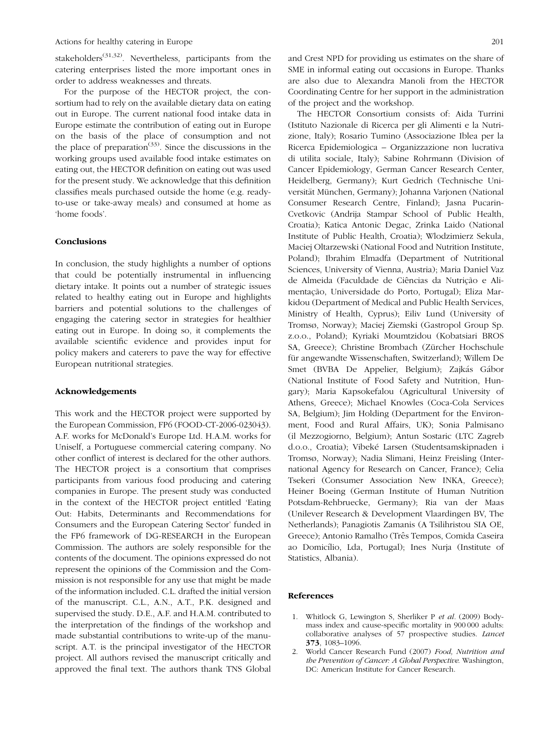stakeholders<sup>(31,32)</sup>. Nevertheless, participants from the catering enterprises listed the more important ones in order to address weaknesses and threats.

For the purpose of the HECTOR project, the consortium had to rely on the available dietary data on eating out in Europe. The current national food intake data in Europe estimate the contribution of eating out in Europe on the basis of the place of consumption and not the place of preparation<sup> $(33)$ </sup>. Since the discussions in the working groups used available food intake estimates on eating out, the HECTOR definition on eating out was used for the present study. We acknowledge that this definition classifies meals purchased outside the home (e.g. readyto-use or take-away meals) and consumed at home as 'home foods'.

# Conclusions

In conclusion, the study highlights a number of options that could be potentially instrumental in influencing dietary intake. It points out a number of strategic issues related to healthy eating out in Europe and highlights barriers and potential solutions to the challenges of engaging the catering sector in strategies for healthier eating out in Europe. In doing so, it complements the available scientific evidence and provides input for policy makers and caterers to pave the way for effective European nutritional strategies.

## Acknowledgements

This work and the HECTOR project were supported by the European Commission, FP6 (FOOD-CT-2006-023043). A.F. works for McDonald's Europe Ltd. H.A.M. works for Uniself, a Portuguese commercial catering company. No other conflict of interest is declared for the other authors. The HECTOR project is a consortium that comprises participants from various food producing and catering companies in Europe. The present study was conducted in the context of the HECTOR project entitled 'Eating Out: Habits, Determinants and Recommendations for Consumers and the European Catering Sector' funded in the FP6 framework of DG-RESEARCH in the European Commission. The authors are solely responsible for the contents of the document. The opinions expressed do not represent the opinions of the Commission and the Commission is not responsible for any use that might be made of the information included. C.L. drafted the initial version of the manuscript. C.L., A.N., A.T., P.K. designed and supervised the study. D.E., A.F. and H.A.M. contributed to the interpretation of the findings of the workshop and made substantial contributions to write-up of the manuscript. A.T. is the principal investigator of the HECTOR project. All authors revised the manuscript critically and approved the final text. The authors thank TNS Global and Crest NPD for providing us estimates on the share of SME in informal eating out occasions in Europe. Thanks are also due to Alexandra Manoli from the HECTOR Coordinating Centre for her support in the administration of the project and the workshop.

The HECTOR Consortium consists of: Aida Turrini (Istituto Nazionale di Ricerca per gli Alimenti e la Nutrizione, Italy); Rosario Tumino (Associazione Iblea per la Ricerca Epidemiologica – Organizzazione non lucrativa di utilita sociale, Italy); Sabine Rohrmann (Division of Cancer Epidemiology, German Cancer Research Center, Heidelberg, Germany); Kurt Gedrich (Technische Universität München, Germany); Johanna Varjonen (National Consumer Research Centre, Finland); Jasna Pucarin-Cvetkovic (Andrija Stampar School of Public Health, Croatia); Katica Antonic Degac, Zrinka Laido (National Institute of Public Health, Croatia); Wlodzimierz Sekula, Maciej Oltarzewski (National Food and Nutrition Institute, Poland); Ibrahim Elmadfa (Department of Nutritional Sciences, University of Vienna, Austria); Maria Daniel Vaz de Almeida (Faculdade de Ciências da Nutricão e Alimentação, Universidade do Porto, Portugal); Eliza Markidou (Department of Medical and Public Health Services, Ministry of Health, Cyprus); Eiliv Lund (University of Tromsø, Norway); Maciej Ziemski (Gastropol Group Sp. z.o.o., Poland); Kyriaki Moumtzidou (Kobatsiari BROS SA, Greece); Christine Brombach (Zürcher Hochschule für angewandte Wissenschaften, Switzerland); Willem De Smet (BVBA De Appelier, Belgium); Zajkás Gábor (National Institute of Food Safety and Nutrition, Hungary); Maria Kapsokefalou (Agricultural University of Athens, Greece); Michael Knowles (Coca-Cola Services SA, Belgium); Jim Holding (Department for the Environment, Food and Rural Affairs, UK); Sonia Palmisano (il Mezzogiorno, Belgium); Antun Sostaric (LTC Zagreb d.o.o., Croatia); Vibeké Larsen (Studentsamskipnaden i Tromsø, Norway); Nadia Slimani, Heinz Freisling (International Agency for Research on Cancer, France); Celia Tsekeri (Consumer Association New INKA, Greece); Heiner Boeing (German Institute of Human Nutrition Potsdam-Rehbruecke, Germany); Ria van der Maas (Unilever Research & Development Vlaardingen BV, The Netherlands); Panagiotis Zamanis (A Tsilihristou SIA OE, Greece); Antonio Ramalho (Três Tempos, Comida Caseira ao Domicílio, Lda, Portugal); Ines Nurja (Institute of Statistics, Albania).

# References

- 1. Whitlock G, Lewington S, Sherliker P et al. (2009) Bodymass index and cause-specific mortality in 900 000 adults: collaborative analyses of 57 prospective studies. Lancet 373, 1083–1096.
- 2. World Cancer Research Fund (2007) Food, Nutrition and the Prevention of Cancer: A Global Perspective. Washington, DC: American Institute for Cancer Research.